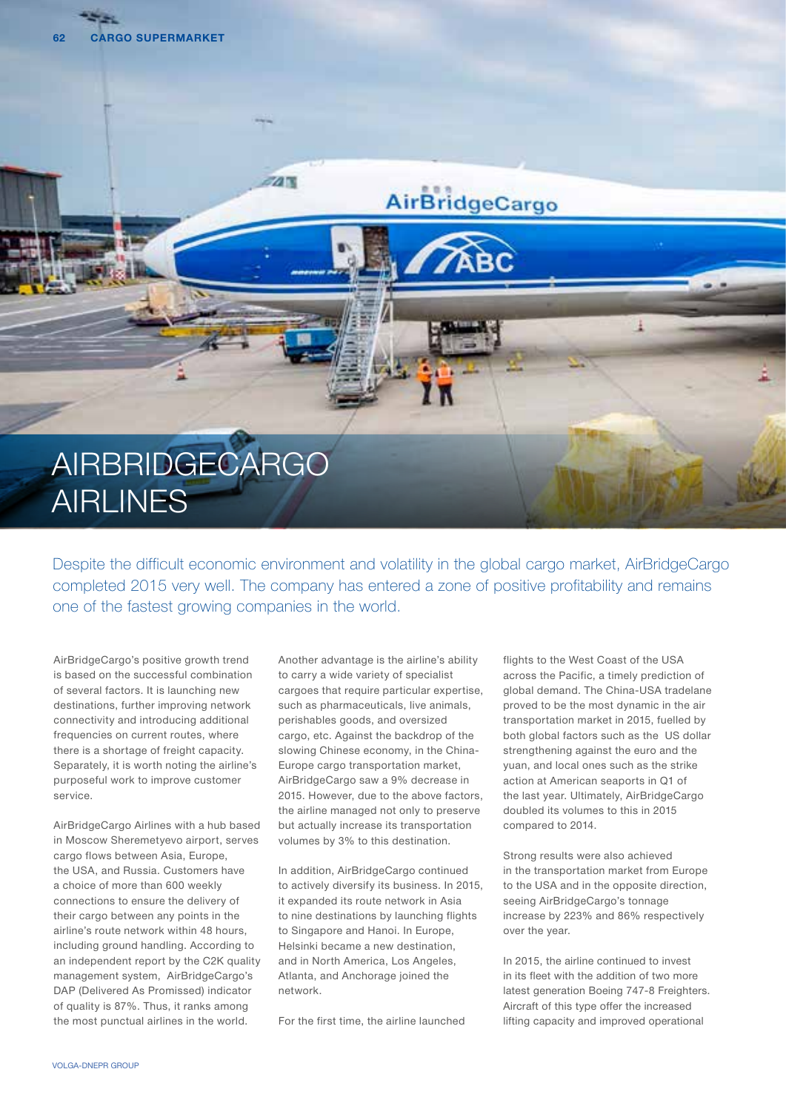

Despite the difficult economic environment and volatility in the global cargo market, AirBridgeCargo completed 2015 very well. The company has entered a zone of positive profitability and remains one of the fastest growing companies in the world.

AirBridgeCargo's positive growth trend is based on the successful combination of several factors. It is launching new destinations, further improving network connectivity and introducing additional frequencies on current routes, where there is a shortage of freight capacity. Separately, it is worth noting the airline's purposeful work to improve customer service.

AirBridgeCargo Airlines with a hub based in Moscow Sheremetyevo airport, serves cargo flows between Asia, Europe, the USA, and Russia. Customers have a choice of more than 600 weekly connections to ensure the delivery of their cargo between any points in the airline's route network within 48 hours, including ground handling. According to an independent report by the C2K quality management system, AirBridgeCargo's DAP (Delivered As Promissed) indicator of quality is 87%. Thus, it ranks among the most punctual airlines in the world.

Another advantage is the airline's ability to carry a wide variety of specialist cargoes that require particular expertise, such as pharmaceuticals, live animals, perishables goods, and oversized cargo, etc. Against the backdrop of the slowing Chinese economy, in the China-Europe cargo transportation market, AirBridgeCargo saw a 9% decrease in 2015. However, due to the above factors, the airline managed not only to preserve but actually increase its transportation volumes by 3% to this destination.

In addition, AirBridgeCargo continued to actively diversify its business. In 2015, it expanded its route network in Asia to nine destinations by launching flights to Singapore and Hanoi. In Europe, Helsinki became a new destination, and in North America, Los Angeles, Atlanta, and Anchorage joined the network.

For the first time, the airline launched

flights to the West Coast of the USA across the Pacific, a timely prediction of global demand. The China-USA tradelane proved to be the most dynamic in the air transportation market in 2015, fuelled by both global factors such as the US dollar strengthening against the euro and the yuan, and local ones such as the strike action at American seaports in Q1 of the last year. Ultimately, AirBridgeCargo doubled its volumes to this in 2015 compared to 2014.

Strong results were also achieved in the transportation market from Europe to the USA and in the opposite direction, seeing AirBridgeCargo's tonnage increase by 223% and 86% respectively over the year.

In 2015, the airline continued to invest in its fleet with the addition of two more latest generation Boeing 747-8 Freighters. Aircraft of this type offer the increased lifting capacity and improved operational